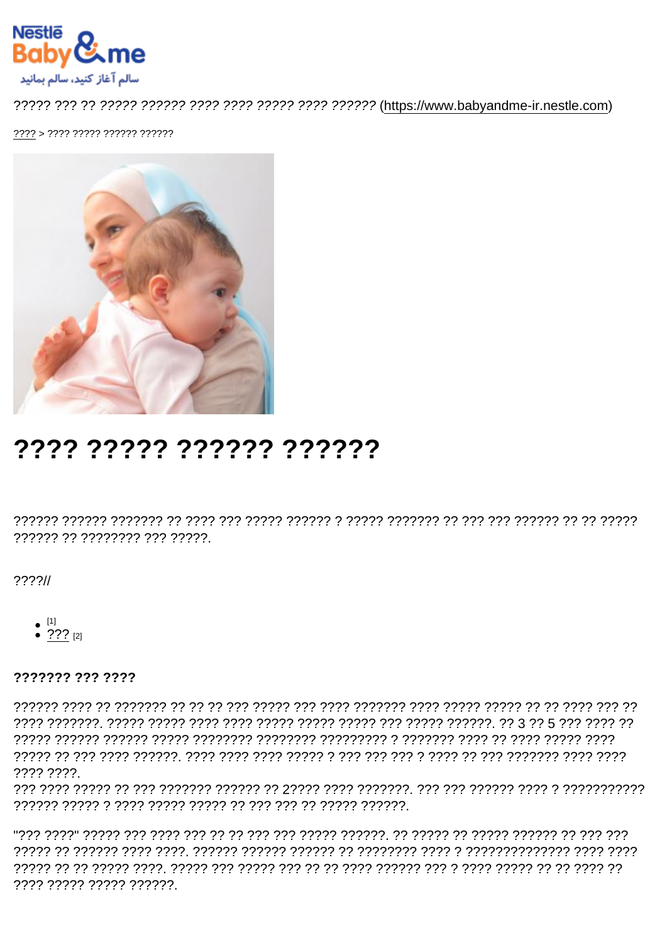# ???? ????? ?????? ??????

?????? ?? ???????? ??? ?????

 $??\frac{??}{/}$ 

- $\bullet$  [1]
- ??? [2]

??????? ??? ????

???? ????

???? ????? ????? ??????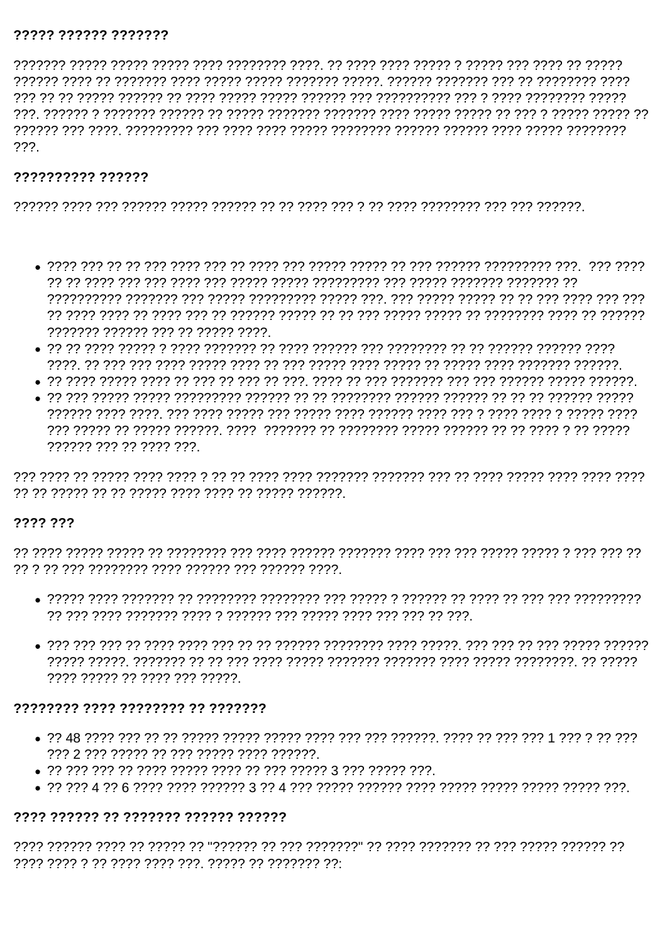#### ????? ?????? ???????

 $222$ 

## ?????????? ??????

- ??????? ?????? ??? ?? ????? ????.
- יולי היהליך היהליך היו לי היהליך היה היהליך היהלי היהלי היהליך היהלי היהליך היהליך היהליך היה היה לי היו לי הי
- 
- 777777 777 77 7777 777

## ???? ???

- 
- ה המורך המורך המורך המורד המורד המורד המורד המורד המורד המורד המורד המורד המורד המורד המורד המו ???? ????? ?? ???? ??? ?????.

## 77777777 7777 77777777 77 7777777

- 
- 
- 

# ???? ?????? ?? ??????? ?????? ??????